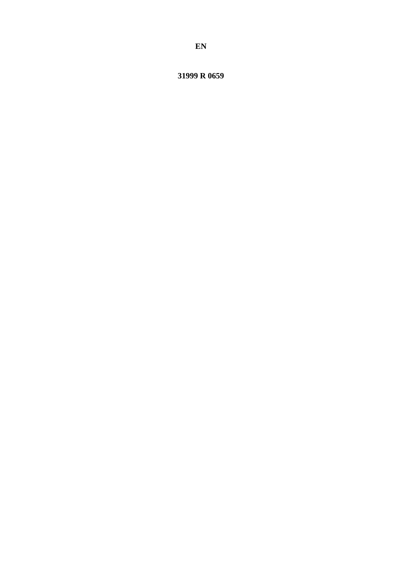31999 R 0659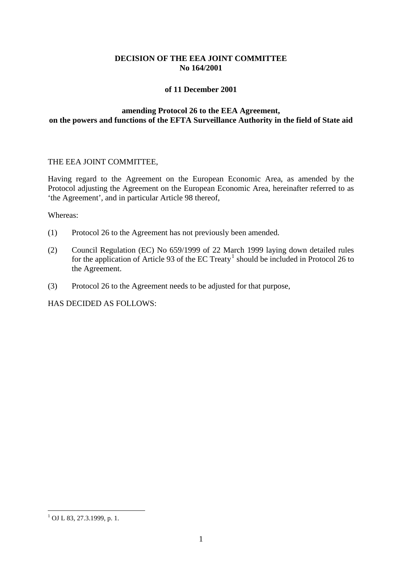# **DECISION OF THE EEA JOINT COMMITTEE No 164/2001**

## **of 11 December 2001**

# **amending Protocol 26 to the EEA Agreement, on the powers and functions of the EFTA Surveillance Authority in the field of State aid**

#### THE EEA JOINT COMMITTEE,

Having regard to the Agreement on the European Economic Area, as amended by the Protocol adjusting the Agreement on the European Economic Area, hereinafter referred to as 'the Agreement', and in particular Article 98 thereof,

Whereas:

- (1) Protocol 26 to the Agreement has not previously been amended.
- (2) Council Regulation (EC) No 659/1999 of 22 March 1999 laying down detailed rules for the application of Article 93 of the EC Treaty<sup>[1](#page-1-0)</sup> should be included in Protocol 26 to the Agreement.
- (3) Protocol 26 to the Agreement needs to be adjusted for that purpose,

HAS DECIDED AS FOLLOWS:

<span id="page-1-0"></span> $1$  OJ L 83, 27.3.1999, p. 1.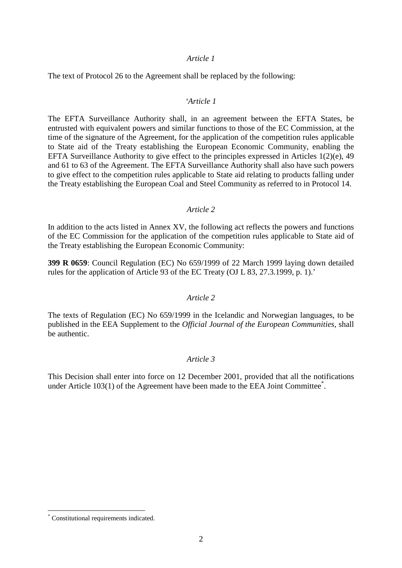### *Article 1*

The text of Protocol 26 to the Agreement shall be replaced by the following:

### *'Article 1*

The EFTA Surveillance Authority shall, in an agreement between the EFTA States, be entrusted with equivalent powers and similar functions to those of the EC Commission, at the time of the signature of the Agreement, for the application of the competition rules applicable to State aid of the Treaty establishing the European Economic Community, enabling the EFTA Surveillance Authority to give effect to the principles expressed in Articles 1(2)(e), 49 and 61 to 63 of the Agreement. The EFTA Surveillance Authority shall also have such powers to give effect to the competition rules applicable to State aid relating to products falling under the Treaty establishing the European Coal and Steel Community as referred to in Protocol 14.

#### *Article 2*

In addition to the acts listed in Annex XV, the following act reflects the powers and functions of the EC Commission for the application of the competition rules applicable to State aid of the Treaty establishing the European Economic Community:

**399 R 0659**: Council Regulation (EC) No 659/1999 of 22 March 1999 laying down detailed rules for the application of Article 93 of the EC Treaty (OJ L 83, 27.3.1999, p. 1).'

#### *Article 2*

The texts of Regulation (EC) No 659/1999 in the Icelandic and Norwegian languages, to be published in the EEA Supplement to the *Official Journal of the European Communities*, shall be authentic.

### *Article 3*

This Decision shall enter into force on 12 December 2001, provided that all the notifications under Article 103(1) of the Agreement have been made to the EEA Joint Committee<sup>\*</sup>.

 <sup>\*</sup> Constitutional requirements indicated.